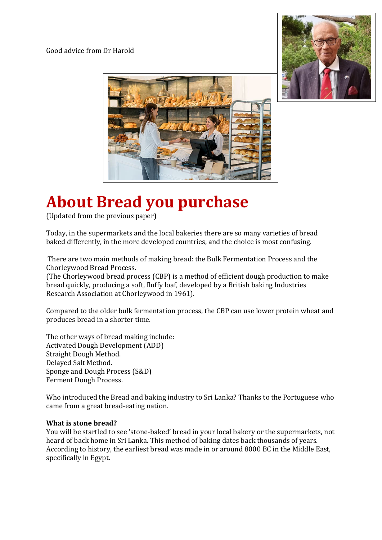## Good advice from Dr Harold





# **About Bread you purchase**

(Updated from the previous paper)

Today, in the supermarkets and the local bakeries there are so many varieties of bread baked differently, in the more developed countries, and the choice is most confusing.

There are two main methods of making bread: the Bulk Fermentation Process and the Chorleywood Bread Process.

(The Chorleywood bread process (CBP) is a method of efficient dough production to make bread quickly, producing a soft, fluffy loaf, developed by a British baking Industries Research Association at Chorleywood in 1961).

Compared to the older bulk fermentation process, the CBP can use lower protein wheat and produces bread in a shorter time.

The other ways of bread making include: Activated Dough Development (ADD) Straight Dough Method. Delayed Salt Method. Sponge and Dough Process (S&D) Ferment Dough Process.

Who introduced the Bread and baking industry to Sri Lanka? Thanks to the Portuguese who came from a great bread-eating nation.

#### **What is stone bread?**

You will be startled to see 'stone-baked' bread in your local bakery or the supermarkets, not heard of back home in Sri Lanka. This method of baking dates back thousands of years. According to history, the earliest bread was made in or around 8000 BC in the Middle East, specifically in Egypt.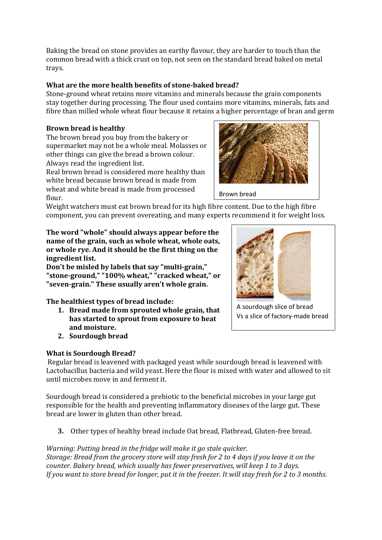Baking the bread on stone provides an earthy flavour, they are harder to touch than the common bread with a thick crust on top, not seen on the standard bread baked on metal trays.

# **What are the more health benefits of stone-baked bread?**

Stone-ground wheat retains more vitamins and minerals because the grain components stay together during processing. The flour used contains more vitamins, minerals, fats and fibre than milled whole wheat flour because it retains a higher percentage of bran and germ

## **Brown bread is healthy**

The brown bread you buy from the bakery or supermarket may not be a whole meal. Molasses or other things can give the bread a brown colour. Always read the ingredient list.

Real brown bread is considered more healthy than white bread because brown bread is made from wheat and white bread is made from processed flour.



Brown bread

Weight watchers must eat brown bread for its high fibre content. Due to the high fibre component, you can prevent overeating, and many experts recommend it for weight loss.

**The word "whole" should always appear before the name of the grain, such as whole wheat, whole oats, or whole rye. And it should be the first thing on the ingredient list.**

**Don't be misled by labels that say "multi-grain," "stone-ground," "100% wheat," "cracked wheat," or "seven-grain." These usually aren't whole grain.**

**The healthiest types of bread include:**

- **1. Bread made from sprouted whole grain, that has started to sprout from exposure to heat and moisture.**
- **2. Sourdough bread**



Regular bread is leavened with packaged yeast while sourdough bread is leavened with Lactobacillus bacteria and wild yeast. Here the flour is mixed with water and allowed to sit until microbes move in and ferment it.

Sourdough bread is considered a prebiotic to the beneficial microbes in your large gut responsible for the health and preventing inflammatory diseases of the large gut. These bread are lower in gluten than other bread.

**3.** Other types of healthy bread include Oat bread, Flatbread, Gluten-free bread.

*Warning: Putting bread in the fridge will make it go stale quicker. Storage: Bread from the grocery store will stay fresh for 2 to 4 days if you leave it on the counter. Bakery bread, which usually has fewer preservatives, will keep 1 to 3 days. If you want to store bread for longer, put it in the freezer. It will stay fresh for 2 to 3 months.*



A sourdough slice of bread Vs a slice of factory-made bread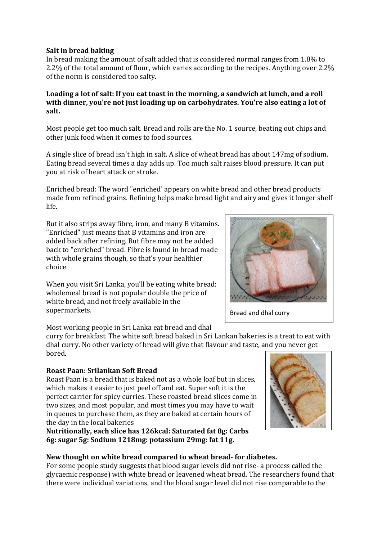### **Salt in bread baking**

In bread making the amount of salt added that is considered normal ranges from 1.8% to 2.2% of the total amount of flour, which varies according to the recipes. Anything over 2.2% of the norm is considered too salty.

#### **Loading a lot of salt: If you eat toast in the morning, a sandwich at lunch, and a roll with dinner, you're not just loading up on carbohydrates. You're also eating a lot of salt.**

Most people get too much salt. Bread and rolls are the No. 1 source, beating out chips and other junk food when it comes to food sources.

A single slice of bread isn't high in salt. A slice of wheat bread has about 147mg of sodium. Eating bread several times a day adds up. Too much salt raises blood pressure. It can put you at risk of heart attack or stroke.

Enriched bread: The word "enriched' appears on white bread and other bread products made from refined grains. Refining helps make bread light and airy and gives it longer shelf life.

But it also strips away fibre, iron, and many B vitamins. "Enriched" just means that B vitamins and iron are added back after refining. But fibre may not be added back to "enriched" bread. Fibre is found in bread made with whole grains though, so that's your healthier choice.

When you visit Sri Lanka, you'll be eating white bread: wholemeal bread is not popular double the price of white bread, and not freely available in the supermarkets.

Most working people in Sri Lanka eat bread and dhal

curry for breakfast. The white soft bread baked in Sri Lankan bakeries is a treat to eat with dhal curry. No other variety of bread will give that flavour and taste, and you never get bored.

## **Roast Paan: Srilankan Soft Bread**

Roast Paan is a bread that is baked not as a whole loaf but in slices, which makes it easier to just peel off and eat. Super soft it is the perfect carrier for spicy curries. These roasted bread slices come in two sizes, and most popular, and most times you may have to wait in queues to purchase them, as they are baked at certain hours of the day in the local bakeries

**Nutritionally, each slice has 126kcal: Saturated fat 8g: Carbs 6g: sugar 5g: Sodium 1218mg: potassium 29mg: fat 11g.**

#### **New thought on white bread compared to wheat bread- for diabetes.**

For some people study suggests that blood sugar levels did not rise- a process called the glycaemic response) with white bread or leavened wheat bread. The researchers found that there were individual variations, and the blood sugar level did not rise comparable to the





Bread and dhal curry